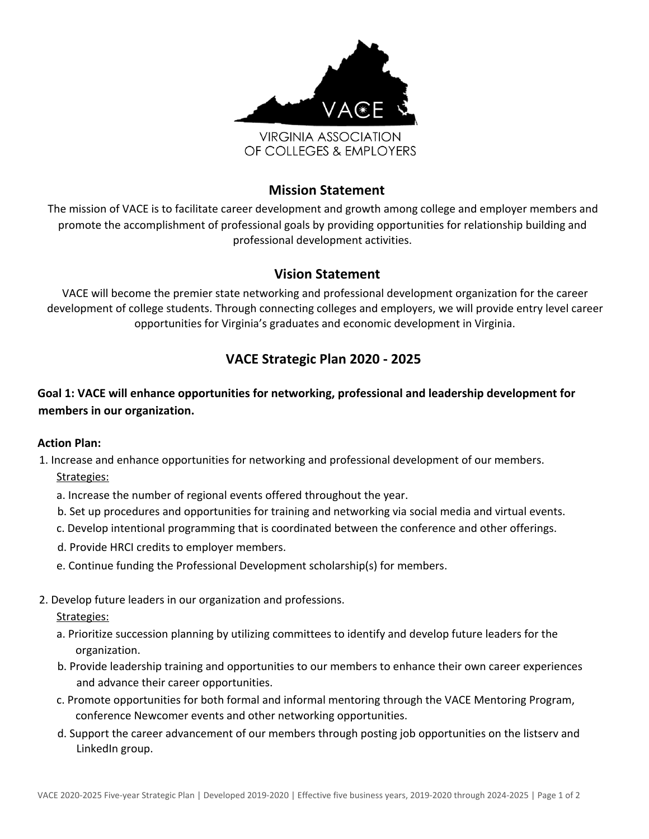

# **Mission Statement**

The mission of VACE is to facilitate career development and growth among college and employer members and promote the accomplishment of professional goals by providing opportunities for relationship building and professional development activities.

# **Vision Statement**

VACE will become the premier state networking and professional development organization for the career development of college students. Through connecting colleges and employers, we will provide entry level career opportunities for Virginia's graduates and economic development in Virginia.

# **VACE Strategic Plan 2020 - 2025**

**Goal 1: VACE will enhance opportunities for networking, professional and leadership development for members in our organization.**

#### **Action Plan:**

1. Increase and enhance opportunities for networking and professional development of our members. Strategies:

- a. Increase the number of regional events offered throughout the year.
- b. Set up procedures and opportunities for training and networking via social media and virtual events.
- c. Develop intentional programming that is coordinated between the conference and other offerings.
- d. Provide HRCI credits to employer members.
- e. Continue funding the Professional Development scholarship(s) for members.

## 2. Develop future leaders in our organization and professions.

#### Strategies:

- a. Prioritize succession planning by utilizing committees to identify and develop future leaders for the organization.
- b. Provide leadership training and opportunities to our members to enhance their own career experiences and advance their career opportunities.
- c. Promote opportunities for both formal and informal mentoring through the VACE Mentoring Program, conference Newcomer events and other networking opportunities.
- d. Support the career advancement of our members through posting job opportunities on the listserv and LinkedIn group.